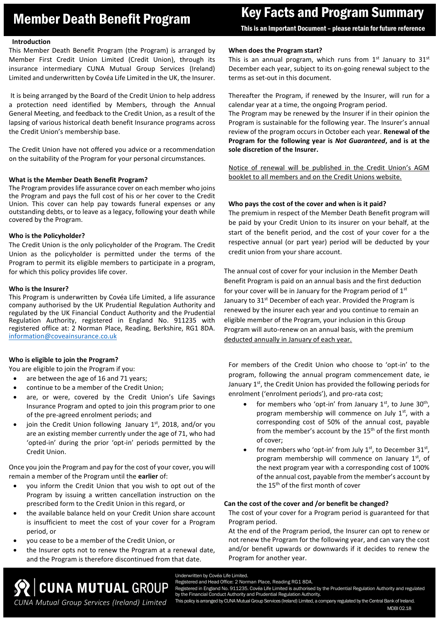# Member Death Benefit Program Key Facts and Program Summary

This is an Important Document – please retain for future reference

## **Introduction**

This Member Death Benefit Program (the Program) is arranged by Member First Credit Union Limited (Credit Union), through its insurance intermediary CUNA Mutual Group Services (Ireland) Limited and underwritten by Covéa Life Limited in the UK, the Insurer.

It is being arranged by the Board of the Credit Union to help address a protection need identified by Members, through the Annual General Meeting, and feedback to the Credit Union, as a result of the lapsing of various historical death benefit Insurance programs across the Credit Union's membership base.

The Credit Union have not offered you advice or a recommendation on the suitability of the Program for your personal circumstances.

## **What is the Member Death Benefit Program?**

The Program provides life assurance cover on each member who joins the Program and pays the full cost of his or her cover to the Credit Union. This cover can help pay towards funeral expenses or any outstanding debts, or to leave as a legacy, following your death while covered by the Program.

## **Who is the Policyholder?**

The Credit Union is the only policyholder of the Program. The Credit Union as the policyholder is permitted under the terms of the Program to permit its eligible members to participate in a program, for which this policy provides life cover.

## **Who is the Insurer?**

This Program is underwritten by Covéa Life Limited, a life assurance company authorised by the UK Prudential Regulation Authority and regulated by the UK Financial Conduct Authority and the Prudential Regulation Authority, registered in England No. 911235 with registered office at: 2 Norman Place, Reading, Berkshire, RG1 8DA. [information@coveainsurance.co.uk](mailto:information@coveainsurance.co.uk)

# **Who is eligible to join the Program?**

You are eligible to join the Program if you:

- are between the age of 16 and 71 years;
- continue to be a member of the Credit Union;
- are, or were, covered by the Credit Union's Life Savings Insurance Program and opted to join this program prior to one of the pre-agreed enrolment periods; and
- join the Credit Union following January  $1<sup>st</sup>$ , 2018, and/or you are an existing member currently under the age of 71, who had 'opted-in' during the prior 'opt-in' periods permitted by the Credit Union.

Once you join the Program and pay for the cost of your cover, you will remain a member of the Program until the **earlier** of:

- you inform the Credit Union that you wish to opt out of the Program by issuing a written cancellation instruction on the prescribed form to the Credit Union in this regard, or
- the available balance held on your Credit Union share account is insufficient to meet the cost of your cover for a Program period, or
- you cease to be a member of the Credit Union, or

*CUNA Mutual Group Services (Ireland) Limited*

 the Insurer opts not to renew the Program at a renewal date, and the Program is therefore discontinued from that date.

# **When does the Program start?**

This is an annual program, which runs from  $1<sup>st</sup>$  January to  $31<sup>st</sup>$ December each year, subject to its on-going renewal subject to the terms as set-out in this document.

Thereafter the Program, if renewed by the Insurer, will run for a calendar year at a time, the ongoing Program period.

The Program may be renewed by the Insurer if in their opinion the Program is sustainable for the following year. The Insurer's annual review of the program occurs in October each year. **Renewal of the Program for the following year is** *Not Guaranteed***, and is at the sole discretion of the Insurer.**

Notice of renewal will be published in the Credit Union's AGM booklet to all members and on the Credit Unions website.

# **Who pays the cost of the cover and when is it paid?**

The premium in respect of the Member Death Benefit program will be paid by your Credit Union to its insurer on your behalf, at the start of the benefit period, and the cost of your cover for a the respective annual (or part year) period will be deducted by your credit union from your share account.

The annual cost of cover for your inclusion in the Member Death Benefit Program is paid on an annual basis and the first deduction for your cover will be in January for the Program period of  $1<sup>st</sup>$ January to 31<sup>st</sup> December of each year. Provided the Program is renewed by the insurer each year and you continue to remain an eligible member of the Program, your inclusion in this Group Program will auto-renew on an annual basis, with the premium deducted annually in January of each year.

For members of the Credit Union who choose to 'opt-in' to the program, following the annual program commencement date, ie January  $1<sup>st</sup>$ , the Credit Union has provided the following periods for enrolment ('enrolment periods'), and pro-rata cost;

- for members who 'opt-in' from January  $1^{st}$ , to June  $30^{th}$ , program membership will commence on July  $1<sup>st</sup>$ , with a corresponding cost of 50% of the annual cost, payable from the member's account by the 15<sup>th</sup> of the first month of cover;
- for members who 'opt-in' from July  $1<sup>st</sup>$ , to December  $31<sup>st</sup>$ , program membership will commence on January  $1<sup>st</sup>$ , of the next program year with a corresponding cost of 100% of the annual cost, payable from the member's account by the 15<sup>th</sup> of the first month of cover

# **Can the cost of the cover and /or benefit be changed?**

The cost of your cover for a Program period is guaranteed for that Program period.

At the end of the Program period, the Insurer can opt to renew or not renew the Program for the following year, and can vary the cost and/or benefit upwards or downwards if it decides to renew the Program for another year.

Underwritten by Covéa Life Limited. **SO CUNA MUTUAL GROUP** 

Registered and Head Office: 2 Norman Place, Reading RG1 8DA.

stered in England No. 911235. Covéa Life Limited is authorised by the Prudential Regulation Authority and regulated by the Financial Conduct Authority and Prudential Regulation Authority.

This policy is arranged by CUNA Mutual Group Services (Ireland) Limited, a company regulated by the Central Bank of Ireland. MDBI 02.18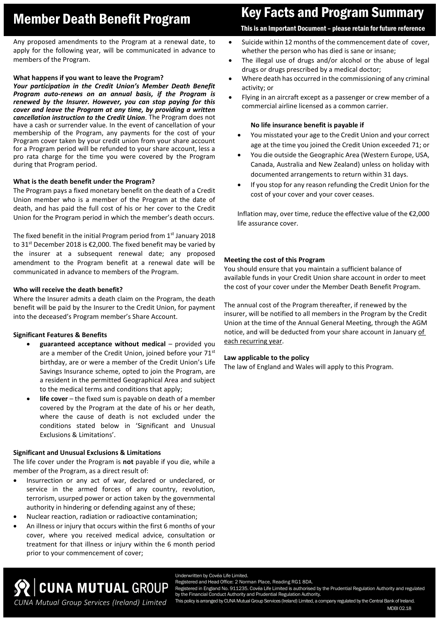Any proposed amendments to the Program at a renewal date, to apply for the following year, will be communicated in advance to members of the Program.

# **What happens if you want to leave the Program?**

*Your participation in the Credit Union's Member Death Benefit Program auto-renews on an annual basis, if the Program is renewed by the Insurer. However, you can stop paying for this cover and leave the Program at any time, by providing a written cancellation instruction to the Credit Union*. The Program does not have a cash or surrender value. In the event of cancellation of your membership of the Program, any payments for the cost of your Program cover taken by your credit union from your share account for a Program period will be refunded to your share account, less a pro rata charge for the time you were covered by the Program during that Program period.

# **What is the death benefit under the Program?**

The Program pays a fixed monetary benefit on the death of a Credit Union member who is a member of the Program at the date of death, and has paid the full cost of his or her cover to the Credit Union for the Program period in which the member's death occurs.

The fixed benefit in the initial Program period from  $1<sup>st</sup>$  January 2018 to 31<sup>st</sup> December 2018 is €2,000. The fixed benefit may be varied by the insurer at a subsequent renewal date; any proposed amendment to the Program benefit at a renewal date will be communicated in advance to members of the Program.

# **Who will receive the death benefit?**

Where the Insurer admits a death claim on the Program, the death benefit will be paid by the Insurer to the Credit Union, for payment into the deceased's Program member's Share Account.

# **Significant Features & Benefits**

- **guaranteed acceptance without medical** provided you are a member of the Credit Union, joined before your 71<sup>st</sup> birthday, are or were a member of the Credit Union's Life Savings Insurance scheme, opted to join the Program, are a resident in the permitted Geographical Area and subject to the medical terms and conditions that apply;
- **life cover** the fixed sum is payable on death of a member covered by the Program at the date of his or her death, where the cause of death is not excluded under the conditions stated below in 'Significant and Unusual Exclusions & Limitations'.

# **Significant and Unusual Exclusions & Limitations**

*CUNA Mutual Group Services (Ireland) Limited*

The life cover under the Program is **not** payable if you die, while a member of the Program, as a direct result of:

- Insurrection or any act of war, declared or undeclared, or service in the armed forces of any country, revolution, terrorism, usurped power or action taken by the governmental authority in hindering or defending against any of these;
- Nuclear reaction, radiation or radioactive contamination;
- An illness or injury that occurs within the first 6 months of your cover, where you received medical advice, consultation or treatment for that illness or injury within the 6 month period prior to your commencement of cover;

# Member Death Benefit Program Key Facts and Program Summary

# This is an Important Document – please retain for future reference

- Suicide within 12 months of the commencement date of cover, whether the person who has died is sane or insane;
- The illegal use of drugs and/or alcohol or the abuse of legal drugs or drugs prescribed by a medical doctor;
- Where death has occurred in the commissioning of any criminal activity; or
- Flying in an aircraft except as a passenger or crew member of a commercial airline licensed as a common carrier.

# **No life insurance benefit is payable if**

- You misstated your age to the Credit Union and your correct age at the time you joined the Credit Union exceeded 71; or
- You die outside the Geographic Area (Western Europe, USA, Canada, Australia and New Zealand) unless on holiday with documented arrangements to return within 31 days.
- If you stop for any reason refunding the Credit Union for the cost of your cover and your cover ceases.

Inflation may, over time, reduce the effective value of the €2,000 life assurance cover.

# **Meeting the cost of this Program**

You should ensure that you maintain a sufficient balance of available funds in your Credit Union share account in order to meet the cost of your cover under the Member Death Benefit Program.

The annual cost of the Program thereafter, if renewed by the insurer, will be notified to all members in the Program by the Credit Union at the time of the Annual General Meeting, through the AGM notice, and will be deducted from your share account in January of each recurring year.

# **Law applicable to the policy**

The law of England and Wales will apply to this Program.

Underwritten by Covéa Life Limited.

Registered and Head Office: 2 Norman Place, Reading RG1 8DA.

**CUNA MUTUAL GROUP** stered in England No. 911235. Covéa Life Limited is authorised by the Prudential Regulation Authority and regulated by the Financial Conduct Authority and Prudential Regulation Authority.

This policy is arranged by CUNA Mutual Group Services (Ireland) Limited, a company regulated by the Central Bank of Ireland. MDBI 02.18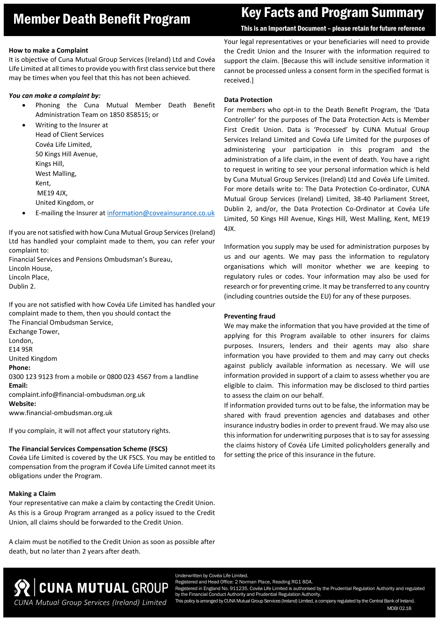# Member Death Benefit Program Key Facts and Program Summary

## This is an Important Document – please retain for future reference

## **How to make a Complaint**

It is objective of Cuna Mutual Group Services (Ireland) Ltd and Covéa Life Limited at all times to provide you with first class service but there may be times when you feel that this has not been achieved.

# *You can make a complaint by:*

 Phoning the Cuna Mutual Member Death Benefit Administration Team on 1850 858515; or

 Writing to the Insurer at Head of Client Services Covéa Life Limited, 50 Kings Hill Avenue, Kings Hill, West Malling, Kent, ME19 4JX, United Kingdom, or

E-mailing the Insurer at [information@coveainsurance.co.uk](mailto:information@coveainsurance.co.uk)

If you are not satisfied with how Cuna Mutual Group Services (Ireland) Ltd has handled your complaint made to them, you can refer your complaint to:

Financial Services and Pensions Ombudsman's Bureau, Lincoln House, Lincoln Place,

Dublin 2.

If you are not satisfied with how Covéa Life Limited has handled your complaint made to them, then you should contact the The Financial Ombudsman Service, Exchange Tower, London, E14 9SR United Kingdom **Phone:** 0300 123 9123 from a mobile or 0800 023 4567 from a landline **Email:** complaint.info@financial-ombudsman.org.uk **Website:** www.financial-ombudsman.org.uk

If you complain, it will not affect your statutory rights.

# **The Financial Services Compensation Scheme (FSCS)**

Covéa Life Limited is covered by the UK FSCS. You may be entitled to compensation from the program if Covéa Life Limited cannot meet its obligations under the Program.

# **Making a Claim**

Your representative can make a claim by contacting the Credit Union. As this is a Group Program arranged as a policy issued to the Credit Union, all claims should be forwarded to the Credit Union.

A claim must be notified to the Credit Union as soon as possible after death, but no later than 2 years after death.

Your legal representatives or your beneficiaries will need to provide the Credit Union and the Insurer with the information required to support the claim. [Because this will include sensitive information it cannot be processed unless a consent form in the specified format is received.]

### **Data Protection**

For members who opt-in to the Death Benefit Program, the 'Data Controller' for the purposes of The Data Protection Acts is Member First Credit Union. Data is 'Processed' by CUNA Mutual Group Services Ireland Limited and Covéa Life Limited for the purposes of administering your participation in this program and the administration of a life claim, in the event of death. You have a right to request in writing to see your personal information which is held by Cuna Mutual Group Services (Ireland) Ltd and Covéa Life Limited. For more details write to: The Data Protection Co-ordinator, CUNA Mutual Group Services (Ireland) Limited, 38-40 Parliament Street, Dublin 2, and/or, the Data Protection Co-Ordinator at Covéa Life Limited, 50 Kings Hill Avenue, Kings Hill, West Malling, Kent, ME19 4JX.

Information you supply may be used for administration purposes by us and our agents. We may pass the information to regulatory organisations which will monitor whether we are keeping to regulatory rules or codes. Your information may also be used for research or for preventing crime. It may be transferred to any country (including countries outside the EU) for any of these purposes.

### **Preventing fraud**

We may make the information that you have provided at the time of applying for this Program available to other insurers for claims purposes. Insurers, lenders and their agents may also share information you have provided to them and may carry out checks against publicly available information as necessary. We will use information provided in support of a claim to assess whether you are eligible to claim. This information may be disclosed to third parties to assess the claim on our behalf.

If information provided turns out to be false, the information may be shared with fraud prevention agencies and databases and other insurance industry bodies in order to prevent fraud. We may also use this information for underwriting purposes that is to say for assessing the claims history of Covéa Life Limited policyholders generally and for setting the price of this insurance in the future.



Registered and Head Office: 2 Norman Place, Reading RG1 8DA. stered in England No. 911235. Covéa Life Limited is authorised by the Prudential Regulation Authority and regulated by the Financial Conduct Authority and Prudential Regulation Authority. This policy is arranged by CUNA Mutual Group Services (Ireland) Limited, a company regulated by the Central Bank of Ireland.

MDBI 02.18